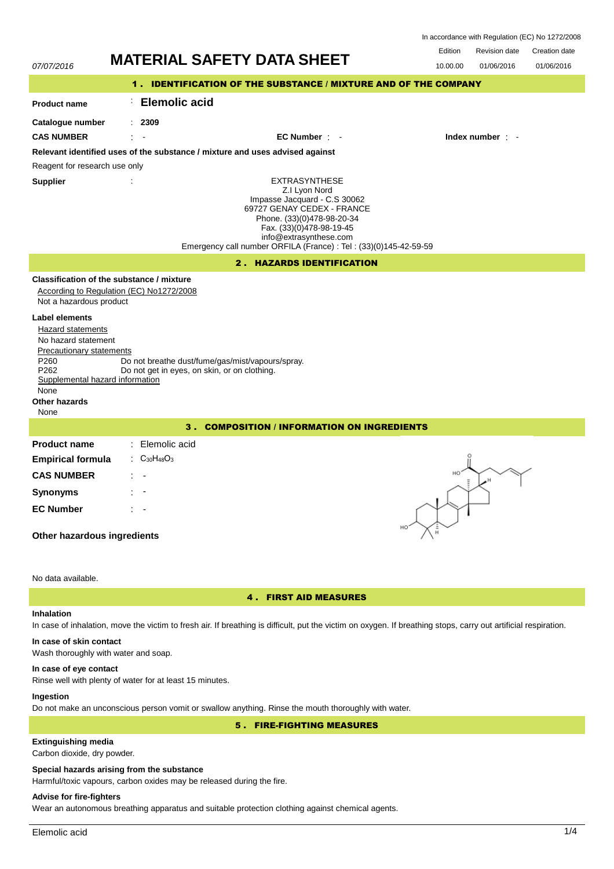In accordance with Regulation (EC) No 1272/2008

Revision date Edition Revision date Creation date

| 07/07/2016                                                                                                                                                                                                               | <b>MATERIAL SAFETY DATA SHEET</b>                                                                                                                                                                                                                            | 01/06/2016<br>01/06/2016<br>10.00.00 |
|--------------------------------------------------------------------------------------------------------------------------------------------------------------------------------------------------------------------------|--------------------------------------------------------------------------------------------------------------------------------------------------------------------------------------------------------------------------------------------------------------|--------------------------------------|
|                                                                                                                                                                                                                          | 1. IDENTIFICATION OF THE SUBSTANCE / MIXTURE AND OF THE COMPANY                                                                                                                                                                                              |                                      |
| <b>Product name</b>                                                                                                                                                                                                      | <b>Elemolic acid</b>                                                                                                                                                                                                                                         |                                      |
| Catalogue number<br><b>CAS NUMBER</b>                                                                                                                                                                                    | : 2309<br>$EC$ Number $\cdot$ $-$                                                                                                                                                                                                                            | Index number $\cdot$                 |
|                                                                                                                                                                                                                          | Relevant identified uses of the substance / mixture and uses advised against                                                                                                                                                                                 |                                      |
| Reagent for research use only                                                                                                                                                                                            |                                                                                                                                                                                                                                                              |                                      |
| <b>Supplier</b>                                                                                                                                                                                                          | <b>EXTRASYNTHESE</b><br>Z.I Lyon Nord<br>Impasse Jacquard - C.S 30062<br>69727 GENAY CEDEX - FRANCE<br>Phone. (33)(0)478-98-20-34<br>Fax. (33)(0)478-98-19-45<br>info@extrasynthese.com<br>Emergency call number ORFILA (France) : Tel : (33)(0)145-42-59-59 |                                      |
|                                                                                                                                                                                                                          | 2. HAZARDS IDENTIFICATION                                                                                                                                                                                                                                    |                                      |
| Not a hazardous product<br>Label elements<br>Hazard statements<br>No hazard statement<br><b>Precautionary statements</b><br>P260<br>P <sub>262</sub><br>Supplemental hazard information<br>None<br>Other hazards<br>None | Classification of the substance / mixture<br>According to Regulation (EC) No1272/2008<br>Do not breathe dust/fume/gas/mist/vapours/spray.<br>Do not get in eyes, on skin, or on clothing.                                                                    |                                      |
|                                                                                                                                                                                                                          | <b>3. COMPOSITION / INFORMATION ON INGREDIENTS</b>                                                                                                                                                                                                           |                                      |
| <b>Product name</b><br><b>Empirical formula</b><br><b>CAS NUMBER</b><br><b>Synonyms</b><br><b>EC Number</b><br>Other hazardous ingredients                                                                               | : Elemolic acid<br>: $C_{30}H_{48}O_3$                                                                                                                                                                                                                       |                                      |
| No data available.                                                                                                                                                                                                       |                                                                                                                                                                                                                                                              |                                      |

## 4 . FIRST AID MEASURES

## **Inhalation**

In case of inhalation, move the victim to fresh air. If breathing is difficult, put the victim on oxygen. If breathing stops, carry out artificial respiration.

## **In case of skin contact**

Wash thoroughly with water and soap.

### **In case of eye contact**

Rinse well with plenty of water for at least 15 minutes.

## **Ingestion**

Do not make an unconscious person vomit or swallow anything. Rinse the mouth thoroughly with water.

## 5 . FIRE-FIGHTING MEASURES

## **Extinguishing media**

Carbon dioxide, dry powder.

## **Special hazards arising from the substance**

Harmful/toxic vapours, carbon oxides may be released during the fire.

## **Advise for fire-fighters**

Wear an autonomous breathing apparatus and suitable protection clothing against chemical agents.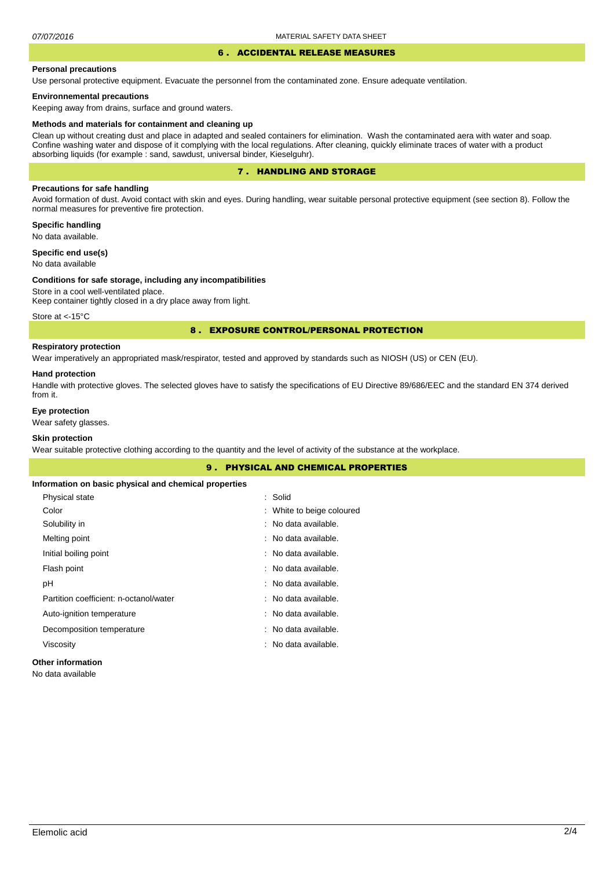#### 6 . ACCIDENTAL RELEASE MEASURES

#### **Personal precautions**

Use personal protective equipment. Evacuate the personnel from the contaminated zone. Ensure adequate ventilation.

### **Environnemental precautions**

Keeping away from drains, surface and ground waters.

#### **Methods and materials for containment and cleaning up**

Clean up without creating dust and place in adapted and sealed containers for elimination. Wash the contaminated aera with water and soap. Confine washing water and dispose of it complying with the local regulations. After cleaning, quickly eliminate traces of water with a product absorbing liquids (for example : sand, sawdust, universal binder, Kieselguhr).

### 7 . HANDLING AND STORAGE

### **Precautions for safe handling**

Avoid formation of dust. Avoid contact with skin and eyes. During handling, wear suitable personal protective equipment (see section 8). Follow the normal measures for preventive fire protection.

**Specific handling** No data available.

**Specific end use(s)**

# No data available

#### **Conditions for safe storage, including any incompatibilities**

Store in a cool well-ventilated place. Keep container tightly closed in a dry place away from light.

Store at <- 15°C

### 8 . EXPOSURE CONTROL/PERSONAL PROTECTION

### **Respiratory protection**

Wear imperatively an appropriated mask/respirator, tested and approved by standards such as NIOSH (US) or CEN (EU).

#### **Hand protection**

Handle with protective gloves. The selected gloves have to satisfy the specifications of EU Directive 89/686/EEC and the standard EN 374 derived from it.

### **Eye protection**

Wear safety glasses.

## **Skin protection**

Wear suitable protective clothing according to the quantity and the level of activity of the substance at the workplace.

|                                                       | <b>9. PHYSICAL AND CHEMICAL PROPERTIES</b> |  |  |
|-------------------------------------------------------|--------------------------------------------|--|--|
| Information on basic physical and chemical properties |                                            |  |  |
| Physical state                                        | : Solid                                    |  |  |
| Color                                                 | : White to beige coloured                  |  |  |
| Solubility in                                         | : No data available.                       |  |  |
| Melting point                                         | : No data available.                       |  |  |
| Initial boiling point                                 | : No data available.                       |  |  |
| Flash point                                           | : No data available.                       |  |  |
| рH                                                    | : No data available.                       |  |  |
| Partition coefficient: n-octanol/water                | : No data available.                       |  |  |
| Auto-ignition temperature                             | : No data available.                       |  |  |
| Decomposition temperature                             | : No data available.                       |  |  |
| Viscosity                                             | : No data available.                       |  |  |
|                                                       |                                            |  |  |

### **Other information**

No data available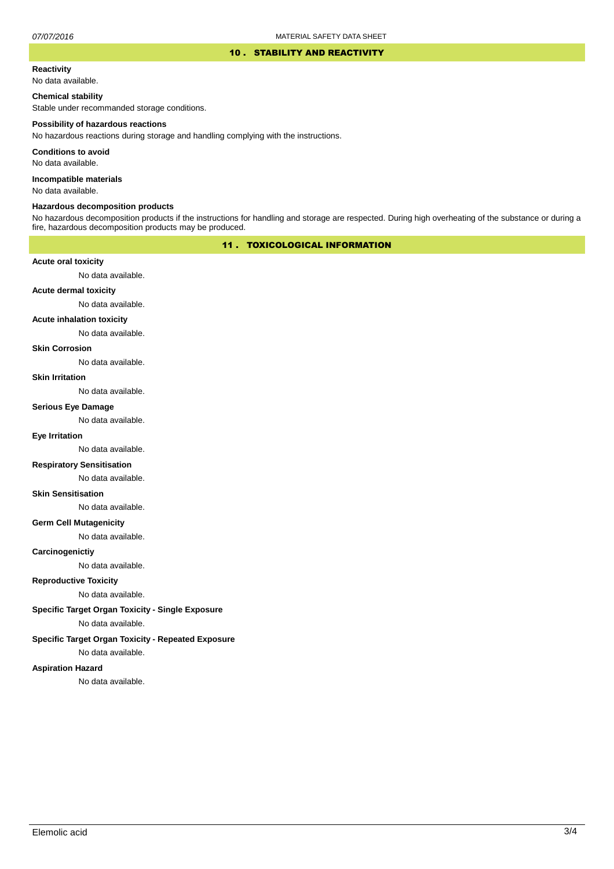### 10 . STABILITY AND REACTIVITY

#### **Reactivity**

No data available.

### **Chemical stability**

Stable under recommanded storage conditions.

#### **Possibility of hazardous reactions**

No hazardous reactions during storage and handling complying with the instructions.

**Conditions to avoid**

No data available.

**Incompatible materials**

No data available.

### **Hazardous decomposition products**

No hazardous decomposition products if the instructions for handling and storage are respected. During high overheating of the substance or during a fire, hazardous decomposition products may be produced.

### 11 . TOXICOLOGICAL INFORMATION

### **Acute oral toxicity**

No data available.

## **Acute dermal toxicity**

No data available.

### **Acute inhalation toxicity**

No data available.

### **Skin Corrosion**

No data available.

#### **Skin Irritation**

No data available.

## **Serious Eye Damage**

No data available.

### **Eye Irritation**

No data available.

### **Respiratory Sensitisation**

No data available.

#### **Skin Sensitisation**

No data available.

### **Germ Cell Mutagenicity**

No data available.

### **Carcinogenictiy**

No data available.

## **Reproductive Toxicity**

No data available.

## **Specific Target Organ Toxicity - Single Exposure**

No data available.

### **Specific Target Organ Toxicity - Repeated Exposure**

No data available.

#### **Aspiration Hazard**

No data available.